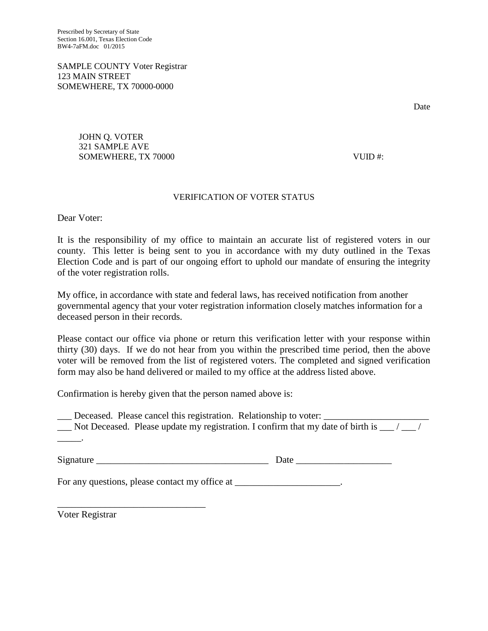SAMPLE COUNTY Voter Registrar 123 MAIN STREET SOMEWHERE, TX 70000-0000

Date

JOHN Q. VOTER 321 SAMPLE AVE SOMEWHERE, TX 70000 SOMEWHERE 3

## VERIFICATION OF VOTER STATUS

Dear Voter:

It is the responsibility of my office to maintain an accurate list of registered voters in our county. This letter is being sent to you in accordance with my duty outlined in the Texas Election Code and is part of our ongoing effort to uphold our mandate of ensuring the integrity of the voter registration rolls.

My office, in accordance with state and federal laws, has received notification from another governmental agency that your voter registration information closely matches information for a deceased person in their records.

Please contact our office via phone or return this verification letter with your response within thirty (30) days. If we do not hear from you within the prescribed time period, then the above voter will be removed from the list of registered voters. The completed and signed verification form may also be hand delivered or mailed to my office at the address listed above.

Confirmation is hereby given that the person named above is:

\_\_\_ Deceased. Please cancel this registration. Relationship to voter: \_\_\_\_\_\_\_\_\_\_\_\_\_\_\_\_\_\_\_\_\_\_  $\Box$  Not Deceased. Please update my registration. I confirm that my date of birth is  $\Box$  $\overline{\phantom{a}}$ .

Signature Date Date  $\Box$ 

For any questions, please contact my office at \_\_\_\_\_\_\_\_\_\_\_\_\_\_\_\_\_\_\_.

Voter Registrar

\_\_\_\_\_\_\_\_\_\_\_\_\_\_\_\_\_\_\_\_\_\_\_\_\_\_\_\_\_\_\_